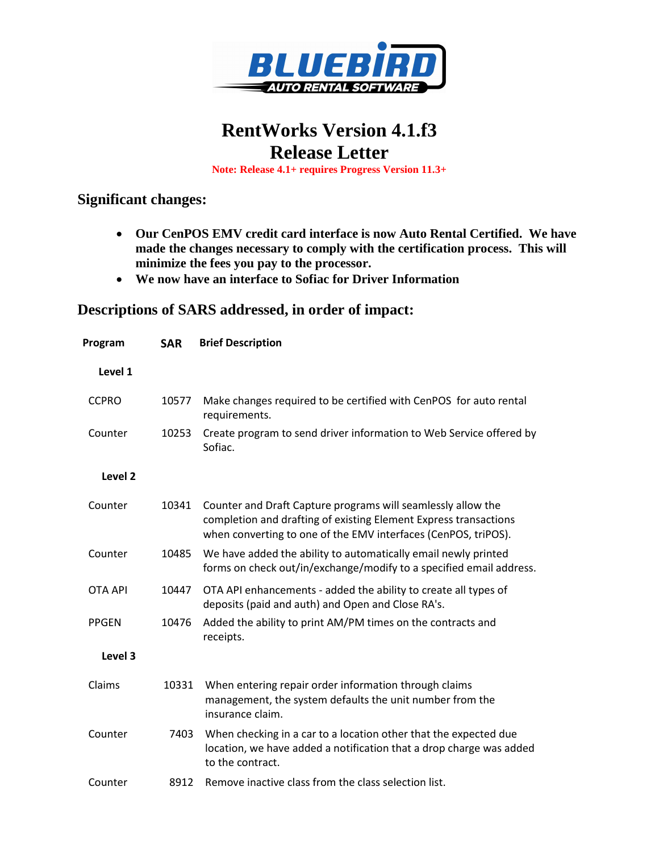

## **RentWorks Version 4.1.f3 Release Letter**

**Note: Release 4.1+ requires Progress Version 11.3+**

## **Significant changes:**

- **Our CenPOS EMV credit card interface is now Auto Rental Certified. We have made the changes necessary to comply with the certification process. This will minimize the fees you pay to the processor.**
- **We now have an interface to Sofiac for Driver Information**

## **Descriptions of SARS addressed, in order of impact:**

| Program        | <b>SAR</b> | <b>Brief Description</b>                                                                                                                                                                           |
|----------------|------------|----------------------------------------------------------------------------------------------------------------------------------------------------------------------------------------------------|
| Level 1        |            |                                                                                                                                                                                                    |
| <b>CCPRO</b>   | 10577      | Make changes required to be certified with CenPOS for auto rental<br>requirements.                                                                                                                 |
| Counter        | 10253      | Create program to send driver information to Web Service offered by<br>Sofiac.                                                                                                                     |
| Level 2        |            |                                                                                                                                                                                                    |
| Counter        | 10341      | Counter and Draft Capture programs will seamlessly allow the<br>completion and drafting of existing Element Express transactions<br>when converting to one of the EMV interfaces (CenPOS, triPOS). |
| Counter        | 10485      | We have added the ability to automatically email newly printed<br>forms on check out/in/exchange/modify to a specified email address.                                                              |
| <b>OTA API</b> | 10447      | OTA API enhancements - added the ability to create all types of<br>deposits (paid and auth) and Open and Close RA's.                                                                               |
| <b>PPGEN</b>   | 10476      | Added the ability to print AM/PM times on the contracts and<br>receipts.                                                                                                                           |
| Level 3        |            |                                                                                                                                                                                                    |
| Claims         | 10331      | When entering repair order information through claims<br>management, the system defaults the unit number from the<br>insurance claim.                                                              |
| Counter        | 7403       | When checking in a car to a location other that the expected due<br>location, we have added a notification that a drop charge was added<br>to the contract.                                        |
| Counter        | 8912       | Remove inactive class from the class selection list.                                                                                                                                               |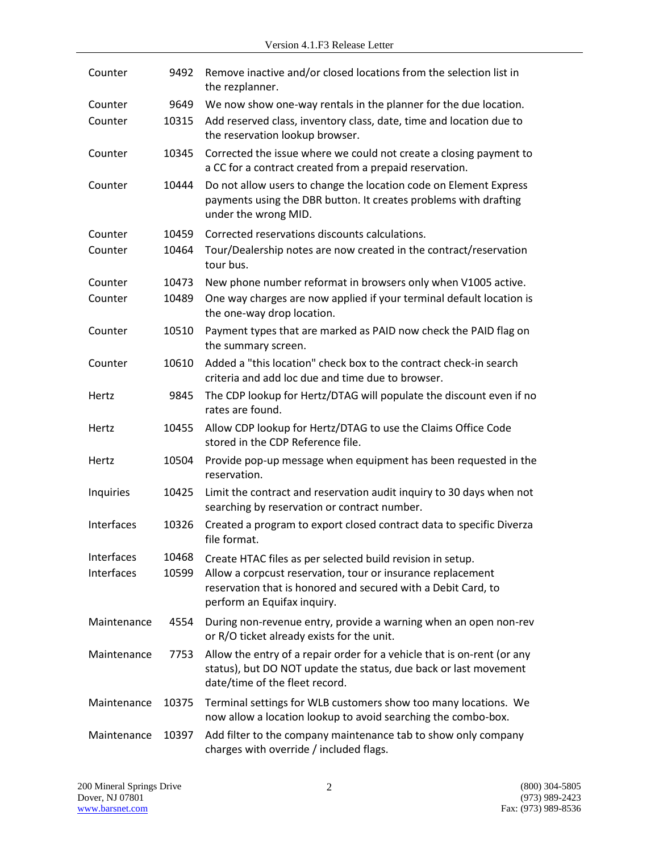| Counter     | 9492  | Remove inactive and/or closed locations from the selection list in<br>the rezplanner.                                                                                         |
|-------------|-------|-------------------------------------------------------------------------------------------------------------------------------------------------------------------------------|
| Counter     | 9649  | We now show one-way rentals in the planner for the due location.                                                                                                              |
| Counter     | 10315 | Add reserved class, inventory class, date, time and location due to<br>the reservation lookup browser.                                                                        |
| Counter     | 10345 | Corrected the issue where we could not create a closing payment to<br>a CC for a contract created from a prepaid reservation.                                                 |
| Counter     | 10444 | Do not allow users to change the location code on Element Express<br>payments using the DBR button. It creates problems with drafting<br>under the wrong MID.                 |
| Counter     | 10459 | Corrected reservations discounts calculations.                                                                                                                                |
| Counter     | 10464 | Tour/Dealership notes are now created in the contract/reservation<br>tour bus.                                                                                                |
| Counter     | 10473 | New phone number reformat in browsers only when V1005 active.                                                                                                                 |
| Counter     | 10489 | One way charges are now applied if your terminal default location is<br>the one-way drop location.                                                                            |
| Counter     | 10510 | Payment types that are marked as PAID now check the PAID flag on<br>the summary screen.                                                                                       |
| Counter     | 10610 | Added a "this location" check box to the contract check-in search<br>criteria and add loc due and time due to browser.                                                        |
| Hertz       | 9845  | The CDP lookup for Hertz/DTAG will populate the discount even if no<br>rates are found.                                                                                       |
| Hertz       | 10455 | Allow CDP lookup for Hertz/DTAG to use the Claims Office Code<br>stored in the CDP Reference file.                                                                            |
| Hertz       | 10504 | Provide pop-up message when equipment has been requested in the<br>reservation.                                                                                               |
| Inquiries   | 10425 | Limit the contract and reservation audit inquiry to 30 days when not<br>searching by reservation or contract number.                                                          |
| Interfaces  | 10326 | Created a program to export closed contract data to specific Diverza<br>file format.                                                                                          |
| Interfaces  | 10468 | Create HTAC files as per selected build revision in setup.                                                                                                                    |
| Interfaces  | 10599 | Allow a corpcust reservation, tour or insurance replacement<br>reservation that is honored and secured with a Debit Card, to<br>perform an Equifax inquiry.                   |
| Maintenance | 4554  | During non-revenue entry, provide a warning when an open non-rev<br>or R/O ticket already exists for the unit.                                                                |
| Maintenance | 7753  | Allow the entry of a repair order for a vehicle that is on-rent (or any<br>status), but DO NOT update the status, due back or last movement<br>date/time of the fleet record. |
| Maintenance | 10375 | Terminal settings for WLB customers show too many locations. We<br>now allow a location lookup to avoid searching the combo-box.                                              |
| Maintenance | 10397 | Add filter to the company maintenance tab to show only company<br>charges with override / included flags.                                                                     |